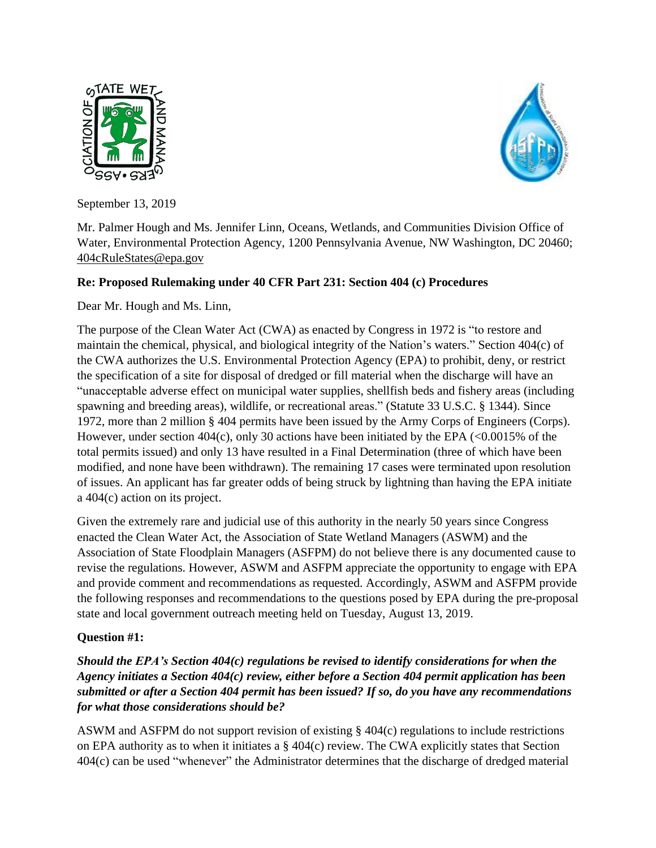



September 13, 2019

Mr. Palmer Hough and Ms. Jennifer Linn, Oceans, Wetlands, and Communities Division Office of Water, Environmental Protection Agency, 1200 Pennsylvania Avenue, NW Washington, DC 20460; [404cRuleStates@epa.gov](mailto:404cRuleStates@epa.gov) 

### **Re: Proposed Rulemaking under 40 CFR Part 231: Section 404 (c) Procedures**

Dear Mr. Hough and Ms. Linn,

The purpose of the Clean Water Act (CWA) as enacted by Congress in 1972 is "to restore and maintain the chemical, physical, and biological integrity of the Nation's waters." Section 404(c) of the CWA authorizes the U.S. Environmental Protection Agency (EPA) to prohibit, deny, or restrict the specification of a site for disposal of dredged or fill material when the discharge will have an "unacceptable adverse effect on municipal water supplies, shellfish beds and fishery areas (including spawning and breeding areas), wildlife, or recreational areas." (Statute 33 U.S.C. § 1344). Since 1972, more than 2 million § 404 permits have been issued by the Army Corps of Engineers (Corps). However, under section  $404(c)$ , only 30 actions have been initiated by the EPA  $\langle \langle 0.0015 \rangle$  of the total permits issued) and only 13 have resulted in a Final Determination (three of which have been modified, and none have been withdrawn). The remaining 17 cases were terminated upon resolution of issues. An applicant has far greater odds of being struck by lightning than having the EPA initiate a 404(c) action on its project.

Given the extremely rare and judicial use of this authority in the nearly 50 years since Congress enacted the Clean Water Act, the Association of State Wetland Managers (ASWM) and the Association of State Floodplain Managers (ASFPM) do not believe there is any documented cause to revise the regulations. However, ASWM and ASFPM appreciate the opportunity to engage with EPA and provide comment and recommendations as requested. Accordingly, ASWM and ASFPM provide the following responses and recommendations to the questions posed by EPA during the pre-proposal state and local government outreach meeting held on Tuesday, August 13, 2019.

### **Question #1:**

*Should the EPA's Section 404(c) regulations be revised to identify considerations for when the Agency initiates a Section 404(c) review, either before a Section 404 permit application has been submitted or after a Section 404 permit has been issued? If so, do you have any recommendations for what those considerations should be?*

ASWM and ASFPM do not support revision of existing § 404(c) regulations to include restrictions on EPA authority as to when it initiates a § 404(c) review. The CWA explicitly states that Section 404(c) can be used "whenever" the Administrator determines that the discharge of dredged material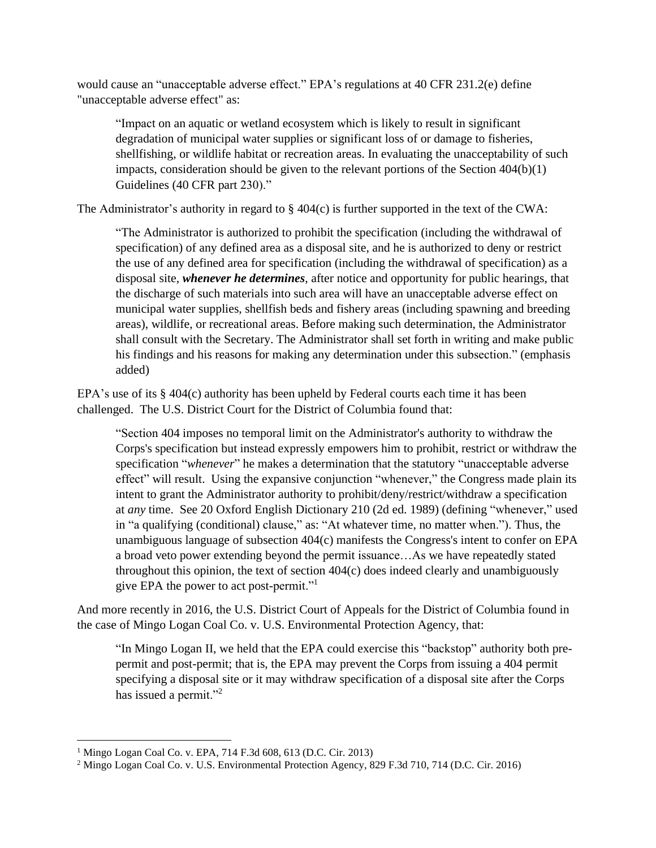would cause an "unacceptable adverse effect." EPA's regulations at 40 CFR 231.2(e) define "unacceptable adverse effect" as:

"Impact on an aquatic or wetland ecosystem which is likely to result in significant degradation of municipal water supplies or significant loss of or damage to fisheries, shellfishing, or wildlife habitat or recreation areas. In evaluating the unacceptability of such impacts, consideration should be given to the relevant portions of the Section  $404(b)(1)$ Guidelines (40 CFR part 230)."

The Administrator's authority in regard to  $\S$  404(c) is further supported in the text of the CWA:

"The Administrator is authorized to prohibit the specification (including the withdrawal of specification) of any defined area as a disposal site, and he is authorized to deny or restrict the use of any defined area for specification (including the withdrawal of specification) as a disposal site, *whenever he determines*, after notice and opportunity for public hearings, that the discharge of such materials into such area will have an unacceptable adverse effect on municipal water supplies, shellfish beds and fishery areas (including spawning and breeding areas), wildlife, or recreational areas. Before making such determination, the Administrator shall consult with the Secretary. The Administrator shall set forth in writing and make public his findings and his reasons for making any determination under this subsection." (emphasis added)

EPA's use of its § 404(c) authority has been upheld by Federal courts each time it has been challenged. The U.S. District Court for the District of Columbia found that:

"Section 404 imposes no temporal limit on the Administrator's authority to withdraw the Corps's specification but instead expressly empowers him to prohibit, restrict or withdraw the specification "*whenever*" he makes a determination that the statutory "unacceptable adverse effect" will result. Using the expansive conjunction "whenever," the Congress made plain its intent to grant the Administrator authority to prohibit/deny/restrict/withdraw a specification at *any* time. See 20 Oxford English Dictionary 210 (2d ed. 1989) (defining "whenever," used in "a qualifying (conditional) clause," as: "At whatever time, no matter when."). Thus, the unambiguous language of subsection 404(c) manifests the Congress's intent to confer on EPA a broad veto power extending beyond the permit issuance…As we have repeatedly stated throughout this opinion, the text of section 404(c) does indeed clearly and unambiguously give EPA the power to act post-permit."<sup>1</sup>

And more recently in 2016, the U.S. District Court of Appeals for the District of Columbia found in the case of Mingo Logan Coal Co. v. U.S. Environmental Protection Agency, that:

"In Mingo Logan II, we held that the EPA could exercise this "backstop" authority both prepermit and post-permit; that is, the EPA may prevent the Corps from issuing a 404 permit specifying a disposal site or it may withdraw specification of a disposal site after the Corps has issued a permit."<sup>2</sup>

<sup>1</sup> Mingo Logan Coal Co. v. EPA, 714 F.3d 608, 613 (D.C. Cir. 2013)

<sup>2</sup> Mingo Logan Coal Co. v. U.S. Environmental Protection Agency, 829 F.3d 710, 714 (D.C. Cir. 2016)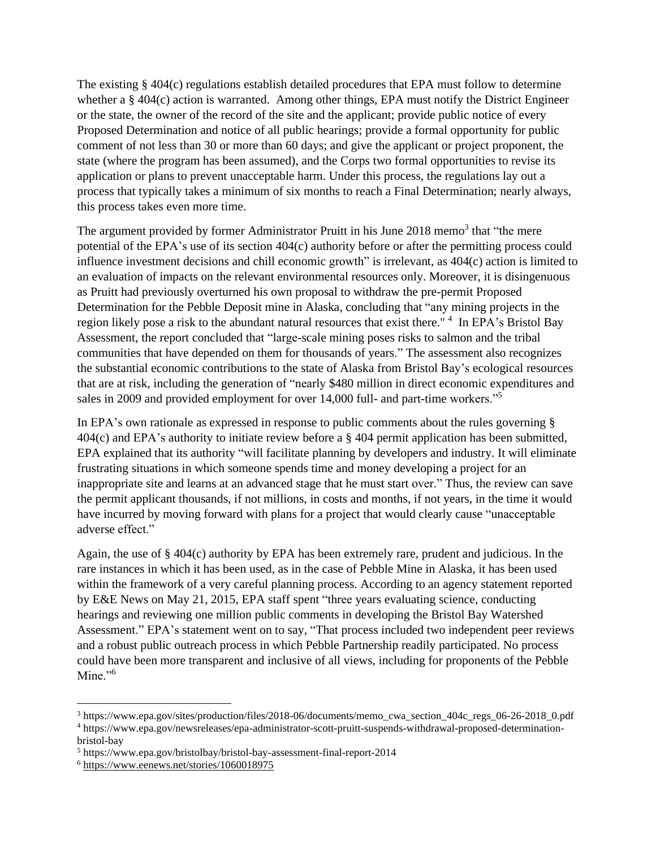The existing § 404(c) regulations establish detailed procedures that EPA must follow to determine whether a § 404(c) action is warranted. Among other things, EPA must notify the District Engineer or the state, the owner of the record of the site and the applicant; provide public notice of every Proposed Determination and notice of all public hearings; provide a formal opportunity for public comment of not less than 30 or more than 60 days; and give the applicant or project proponent, the state (where the program has been assumed), and the Corps two formal opportunities to revise its application or plans to prevent unacceptable harm. Under this process, the regulations lay out a process that typically takes a minimum of six months to reach a Final Determination; nearly always, this process takes even more time.

The argument provided by former Administrator Pruitt in his June 2018 memo<sup>3</sup> that "the mere potential of the EPA's use of its section 404(c) authority before or after the permitting process could influence investment decisions and chill economic growth" is irrelevant, as 404(c) action is limited to an evaluation of impacts on the relevant environmental resources only. Moreover, it is disingenuous as Pruitt had previously overturned his own proposal to withdraw the pre-permit Proposed Determination for the Pebble Deposit mine in Alaska, concluding that "any mining projects in the region likely pose a risk to the abundant natural resources that exist there." <sup>4</sup> In EPA's Bristol Bay Assessment, the report concluded that "large-scale mining poses risks to salmon and the tribal communities that have depended on them for thousands of years." The assessment also recognizes the substantial economic contributions to the state of Alaska from Bristol Bay's ecological resources that are at risk, including the generation of "nearly \$480 million in direct economic expenditures and sales in 2009 and provided employment for over 14,000 full- and part-time workers."<sup>5</sup>

In EPA's own rationale as expressed in response to public comments about the rules governing § 404(c) and EPA's authority to initiate review before a § 404 permit application has been submitted, EPA explained that its authority "will facilitate planning by developers and industry. It will eliminate frustrating situations in which someone spends time and money developing a project for an inappropriate site and learns at an advanced stage that he must start over." Thus, the review can save the permit applicant thousands, if not millions, in costs and months, if not years, in the time it would have incurred by moving forward with plans for a project that would clearly cause "unacceptable adverse effect."

Again, the use of § 404(c) authority by EPA has been extremely rare, prudent and judicious. In the rare instances in which it has been used, as in the case of Pebble Mine in Alaska, it has been used within the framework of a very careful planning process. According to an agency statement reported by E&E News on May 21, 2015, EPA staff spent "three years evaluating science, conducting hearings and reviewing one million public comments in developing the Bristol Bay Watershed Assessment." EPA's statement went on to say, "That process included two independent peer reviews and a robust public outreach process in which Pebble Partnership readily participated. No process could have been more transparent and inclusive of all views, including for proponents of the Pebble Mine."<sup>6</sup>

<sup>3</sup> https://www.epa.gov/sites/production/files/2018-06/documents/memo\_cwa\_section\_404c\_regs\_06-26-2018\_0.pdf

<sup>4</sup> https://www.epa.gov/newsreleases/epa-administrator-scott-pruitt-suspends-withdrawal-proposed-determinationbristol-bay

<sup>5</sup> https://www.epa.gov/bristolbay/bristol-bay-assessment-final-report-2014

<sup>6</sup> <https://www.eenews.net/stories/1060018975>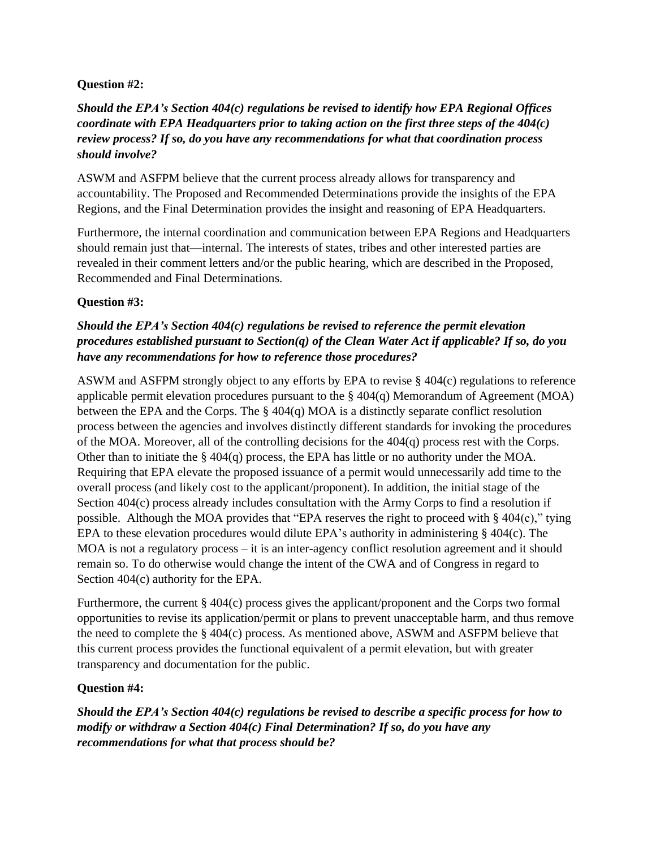### **Question #2:**

# *Should the EPA's Section 404(c) regulations be revised to identify how EPA Regional Offices coordinate with EPA Headquarters prior to taking action on the first three steps of the 404(c) review process? If so, do you have any recommendations for what that coordination process should involve?*

ASWM and ASFPM believe that the current process already allows for transparency and accountability. The Proposed and Recommended Determinations provide the insights of the EPA Regions, and the Final Determination provides the insight and reasoning of EPA Headquarters.

Furthermore, the internal coordination and communication between EPA Regions and Headquarters should remain just that—internal. The interests of states, tribes and other interested parties are revealed in their comment letters and/or the public hearing, which are described in the Proposed, Recommended and Final Determinations.

### **Question #3:**

# *Should the EPA's Section 404(c) regulations be revised to reference the permit elevation procedures established pursuant to Section(q) of the Clean Water Act if applicable? If so, do you have any recommendations for how to reference those procedures?*

ASWM and ASFPM strongly object to any efforts by EPA to revise § 404(c) regulations to reference applicable permit elevation procedures pursuant to the  $\S 404(q)$  Memorandum of Agreement (MOA) between the EPA and the Corps. The § 404(q) MOA is a distinctly separate conflict resolution process between the agencies and involves distinctly different standards for invoking the procedures of the MOA. Moreover, all of the controlling decisions for the 404(q) process rest with the Corps. Other than to initiate the  $\S 404(q)$  process, the EPA has little or no authority under the MOA. Requiring that EPA elevate the proposed issuance of a permit would unnecessarily add time to the overall process (and likely cost to the applicant/proponent). In addition, the initial stage of the Section 404(c) process already includes consultation with the Army Corps to find a resolution if possible. Although the MOA provides that "EPA reserves the right to proceed with § 404(c)," tying EPA to these elevation procedures would dilute EPA's authority in administering § 404(c). The MOA is not a regulatory process – it is an inter-agency conflict resolution agreement and it should remain so. To do otherwise would change the intent of the CWA and of Congress in regard to Section 404(c) authority for the EPA.

Furthermore, the current § 404(c) process gives the applicant/proponent and the Corps two formal opportunities to revise its application/permit or plans to prevent unacceptable harm, and thus remove the need to complete the § 404(c) process. As mentioned above, ASWM and ASFPM believe that this current process provides the functional equivalent of a permit elevation, but with greater transparency and documentation for the public.

### **Question #4:**

*Should the EPA's Section 404(c) regulations be revised to describe a specific process for how to modify or withdraw a Section 404(c) Final Determination? If so, do you have any recommendations for what that process should be?*